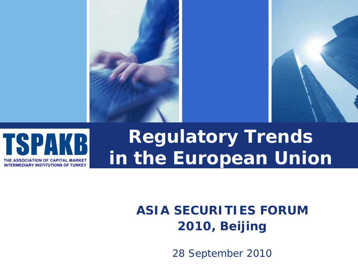



# **Regulatory Trends in the European Union**

### **ASIA SECURITIES FORUM 2010, Beijing**

28 September 2010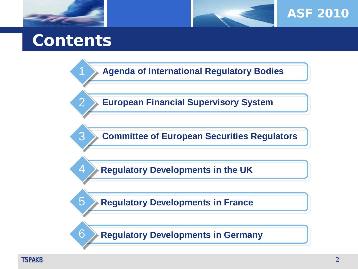



**Agenda of International Regulatory Bodies**

**European Financial Supervisory System**

**Committee of European Securities Regulators**

**Regulatory Developments in the UK** 

**Regulatory Developments in France** 

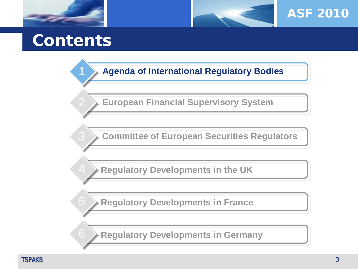



**Agenda of International Regulatory Bodies**

**European Financial Supervisory System**

**Committee of European Securities Regulators**

**Regulatory Developments in the UK** 

**Regulatory Developments in France** 

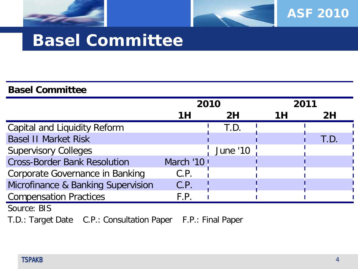

### ASF 2010

### **Basel Committee**

#### **Basel Committee**

|                                     | 2010      |                 | 2011 |      |  |
|-------------------------------------|-----------|-----------------|------|------|--|
|                                     | 1H        | 2H              | 1 H  | 2H   |  |
| <b>Capital and Liquidity Reform</b> |           | T.D.            |      |      |  |
| <b>Basel II Market Risk</b>         |           |                 |      | T.D. |  |
| <b>Supervisory Colleges</b>         |           | <b>June '10</b> |      |      |  |
| <b>Cross-Border Bank Resolution</b> | March '10 |                 |      |      |  |
| Corporate Governance in Banking     | C.P.      |                 |      |      |  |
| Microfinance & Banking Supervision  | C.P.      |                 |      |      |  |
| <b>Compensation Practices</b>       | F.P.      |                 |      |      |  |
| $C_{\text{OUTCO}}$ . DIC            |           |                 |      |      |  |

Source: BIS

T.D.: Target Date C.P.: Consultation Paper F.P.: Final Paper

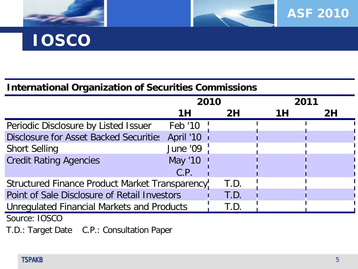



# **IOSCO**

#### **International Organization of Securities Commissions**

|                                                 | 2010            |      | 2011 |  |    |
|-------------------------------------------------|-----------------|------|------|--|----|
|                                                 | 1H              | 2H   | 1Η   |  | 2H |
| Periodic Disclosure by Listed Issuer            | Feb '10         |      |      |  |    |
| Disclosure for Asset Backed Securities          | April '10       |      |      |  |    |
| <b>Short Selling</b>                            | <b>June '09</b> |      |      |  |    |
| <b>Credit Rating Agencies</b>                   | May '10         |      |      |  |    |
|                                                 | C.P.            |      |      |  |    |
| Structured Finance Product Market Transparency! |                 | T.D. |      |  |    |
| Point of Sale Disclosure of Retail Investors    |                 | T.D. |      |  |    |
| Unregulated Financial Markets and Products      |                 | T.D. |      |  |    |
| $C_{\alpha1}$                                   |                 |      |      |  |    |

Source: IOSCO

T.D.: Target Date C.P.: Consultation Paper

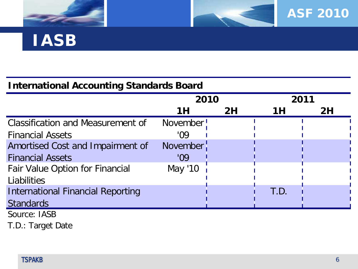



### **IASB**

#### **International Accounting Standards Board**

|                                          | 2010            |    | 2011 |    |
|------------------------------------------|-----------------|----|------|----|
|                                          | 1H              | 2H | 1H   | 2H |
| <b>Classification and Measurement of</b> | November!       |    |      |    |
| <b>Financial Assets</b>                  | 'Ω9             |    |      |    |
| Amortised Cost and Impairment of         | <b>November</b> |    |      |    |
| <b>Financial Assets</b>                  | '09             |    |      |    |
| <b>Fair Value Option for Financial</b>   | May '10         |    |      |    |
| Liabilities                              |                 |    |      |    |
| <b>International Financial Reporting</b> |                 |    | T.D. |    |
| <b>Standards</b>                         |                 |    |      |    |
| Source: IASB                             |                 |    |      |    |

T.D.: Target Date

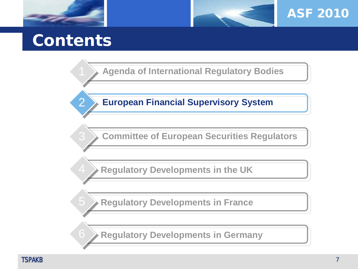



**Agenda of International Regulatory Bodies**

**European Financial Supervisory System**

**Committee of European Securities Regulators**

**Regulatory Developments in the UK** 

**Regulatory Developments in France** 

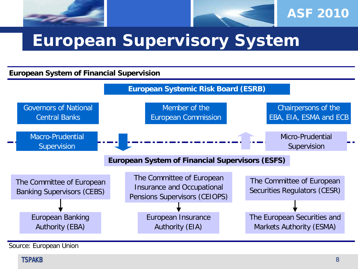

### **European Supervisory System**

#### **European System of Financial Supervision**



Source: European Union

#### TSPAKB 1988 - 1988 - 1988 - 1988 - 1988 - 1988 - 1988 - 1988 - 1988 - 1988 - 1988 - 1988 - 1988 - 1988 - 1988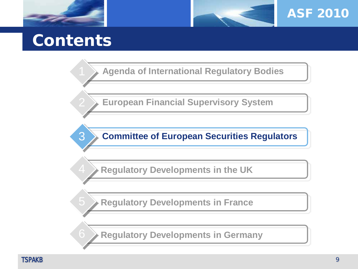



**Agenda of International Regulatory Bodies**

**European Financial Supervisory System**

**Committee of European Securities Regulators**

**Regulatory Developments in the UK** 

**Regulatory Developments in France** 

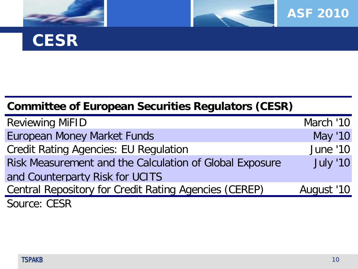



### **CESR**

### **Committee of European Securities Regulators (CESR)**

| <b>Reviewing MiFID</b>                                       | March '10       |
|--------------------------------------------------------------|-----------------|
| <b>European Money Market Funds</b>                           | May '10         |
| <b>Credit Rating Agencies: EU Regulation</b>                 | <b>June '10</b> |
| Risk Measurement and the Calculation of Global Exposure      | <b>July '10</b> |
| and Counterparty Risk for UCITS                              |                 |
| <b>Central Repository for Credit Rating Agencies (CEREP)</b> | August '10      |
| Source: CESR                                                 |                 |

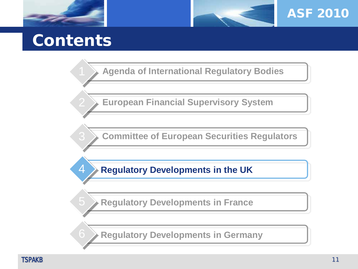



**Agenda of International Regulatory Bodies**

**European Financial Supervisory System**

**Committee of European Securities Regulators**

**Regulatory Developments in the UK** 

**Regulatory Developments in France** 

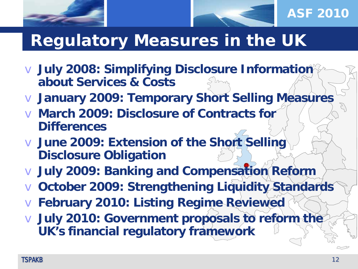

- v **July 2008: Simplifying Disclosure Information about Services & Costs**
- v **January 2009: Temporary Short Selling Measures**
- v **March 2009: Disclosure of Contracts for Differences**
- v **June 2009: Extension of the Short Selling Disclosure Obligation**
- v **July 2009: Banking and Compensation Reform**
- v **October 2009: Strengthening Liquidity Standards**
- v **February 2010: Listing Regime Reviewed**
- v **July 2010: Government proposals to reform the UK's financial regulatory framework**

ASF 2010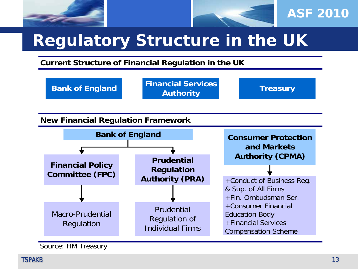



# **Regulatory Structure in the UK**

**Current Structure of Financial Regulation in the UK**



Source: HM Treasury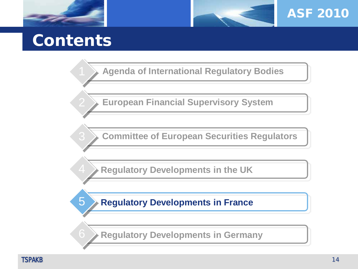



**Agenda of International Regulatory Bodies**

**European Financial Supervisory System**

**Committee of European Securities Regulators**

**Regulatory Developments in the UK** 

**Regulatory Developments in France** 

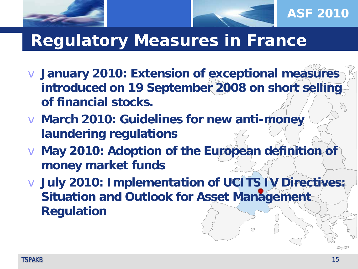



### **Regulatory Measures in France**

- v **January 2010: Extension of exceptional measures introduced on 19 September 2008 on short selling of financial stocks.**
- v **March 2010: Guidelines for new anti-money laundering regulations**
- v **May 2010: Adoption of the European definition of money market funds**
- v **July 2010: Implementation of UCITS IV Directives: Situation and Outlook for Asset Management Regulation**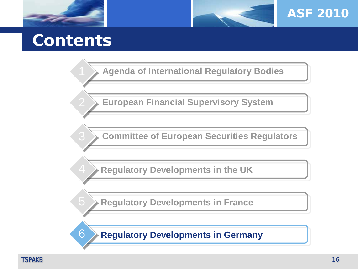



**Agenda of International Regulatory Bodies**

**European Financial Supervisory System**

**Committee of European Securities Regulators**

**Regulatory Developments in the UK** 

**Regulatory Developments in France** 

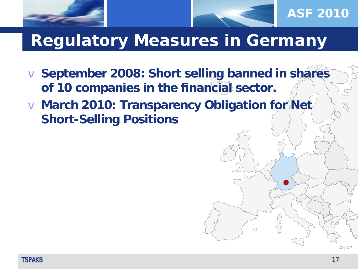



### ASF 2010

### **Regulatory Measures in Germany**

v **September 2008: Short selling banned in shares of 10 companies in the financial sector.** 

v **March 2010: Transparency Obligation for Net Short-Selling Positions**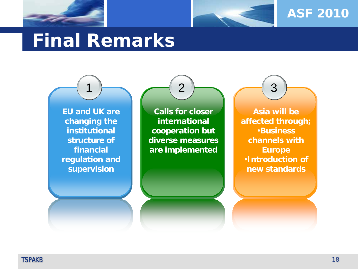



# **Final Remarks**

**EU and UK are changing the institutional structure of financial regulation and supervision**

1

**Calls for closer international cooperation but diverse measures are implemented**

2

**Asia will be affected through;** •**Business channels with Europe** •**Introduction of new standards**

3